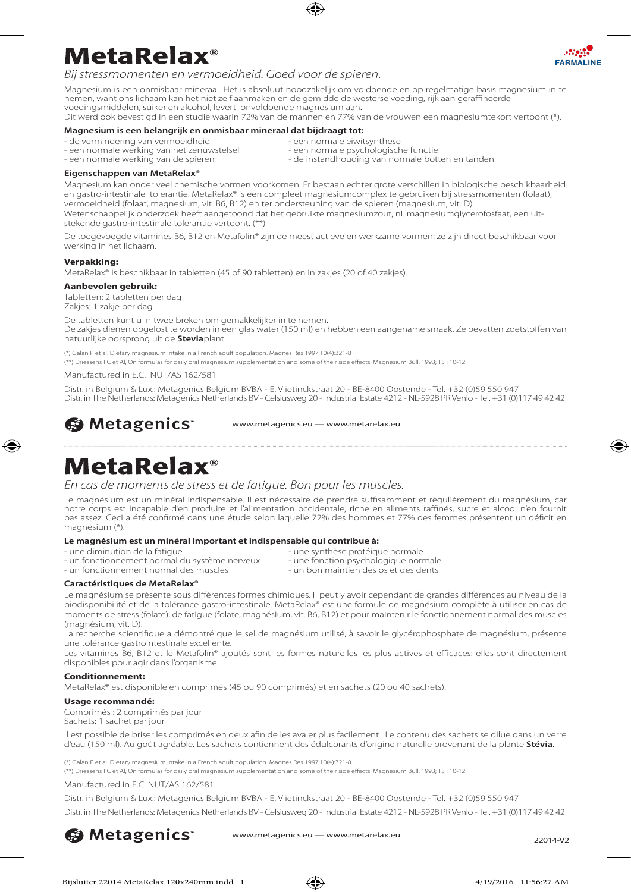

# **MetaRelax**®

*Bij stressmomenten en vermoeidheid. Goed voor de spieren.*

Magnesium is een onmisbaar mineraal. Het is absoluut noodzakelijk om voldoende en op regelmatige basis magnesium in te nemen, want ons lichaam kan het niet zelf aanmaken en de gemiddelde westerse voeding, rijk aan geraffineerde voedingsmiddelen, suiker en alcohol, levert onvoldoende magnesium aan. Dit werd ook bevestigd in een studie waarin 72% van de mannen en 77% van de vrouwen een magnesiumtekort vertoont (\*).

### **Magnesium is een belangrijk en onmisbaar mineraal dat bijdraagt tot:**

- -
- een normale werking van het zenuwstelsel<br>- een normale werking van de spieren
- de vermindering van vermoeidheid een normale eiwitsynthese<br>- een normale werking van het zenuwstelsel een normale psychologische functie
	- de instandhouding van normale botten en tanden

### **Eigenschappen van MetaRelax®**

Magnesium kan onder veel chemische vormen voorkomen. Er bestaan echter grote verschillen in biologische beschikbaarheid en gastro-intestinale tolerantie. MetaRelax® is een compleet magnesiumcomplex te gebruiken bij stressmomenten (folaat), vermoeidheid (folaat, magnesium, vit. B6, B12) en ter ondersteuning van de spieren (magnesium, vit. D).

Wetenschappelijk onderzoek heeft aangetoond dat het gebruikte magnesiumzout, nl. magnesiumglycerofosfaat, een uitstekende gastro-intestinale tolerantie vertoont. (\*\*)

De toegevoegde vitamines B6, B12 en Metafolin® zijn de meest actieve en werkzame vormen: ze zijn direct beschikbaar voor werking in het lichaam.

### **Verpakking:**

⊕

MetaRelax® is beschikbaar in tabletten (45 of 90 tabletten) en in zakjes (20 of 40 zakjes).

### **Aanbevolen gebruik:**

Tabletten: 2 tabletten per dag Zakjes: 1 zakje per dag

De tabletten kunt u in twee breken om gemakkelijker in te nemen. De zakjes dienen opgelost te worden in een glas water (150 ml) en hebben een aangename smaak. Ze bevatten zoetstoffen van natuurlijke oorsprong uit de **Stevia**plant.

(\*) Galan P et al. Dietary magnesium intake in a French adult population. Magnes Res 1997;10(4):321-8

(\*\*) Driessens FC et Al, On formulas for daily oral magnesium supplementation and some of their side effects. Magnesium Bull, 1993; 15 : 10-12

Manufactured in E.C. NUT/AS 162/581

Distr. in Belgium & Lux.: Metagenics Belgium BVBA - E. Vlietinckstraat 20 - BE-8400 Oostende - Tel. +32 (0)59 550 947 Distr. in The Netherlands: Metagenics Netherlands BV - Celsiusweg 20 - Industrial Estate 4212 - NL-5928 PR Venlo - Tel. +31 (0)117 49 42 42

**S** Metagenics

www.metagenics.eu — www.metarelax.eu

### **MetaRelax**®

*En cas de moments de stress et de fatigue. Bon pour les muscles.*

Le magnésium est un minéral indispensable. Il est nécessaire de prendre suffisamment et régulièrement du magnésium, car notre corps est incapable d'en produire et l'alimentation occidentale, riche en aliments raffinés, sucre et alcool n'en fournit pas assez. Ceci a été confirmé dans une étude selon laquelle 72% des hommes et 77% des femmes présentent un déficit en magnésium (\*).

### **Le magnésium est un minéral important et indispensable qui contribue à:**

- 
- 
- une diminution de la fatigue<br>
une synthèse protéique normale<br>
une fonction psychologique normale
- un fonctionnement normal du système nerveux une fonction psychologique normale<br>- un fonctionnement normal des muscles un bon maintien des os et des dents - un fonctionnement normal des muscles
- -
	-

### **Caractéristiques de MetaRelax®**

Le magnésium se présente sous différentes formes chimiques. Il peut y avoir cependant de grandes différences au niveau de la biodisponibilité et de la tolérance gastro-intestinale. MetaRelax® est une formule de magnésium complète à utiliser en cas de moments de stress (folate), de fatigue (folate, magnésium, vit. B6, B12) et pour maintenir le fonctionnement normal des muscles (magnésium, vit. D).

La recherche scientifique a démontré que le sel de magnésium utilisé, à savoir le glycérophosphate de magnésium, présente une tolérance gastrointestinale excellente.

Les vitamines B6, B12 et le Metafolin® ajoutés sont les formes naturelles les plus actives et efficaces: elles sont directement disponibles pour agir dans l'organisme.

### **Conditionnement:**

MetaRelax® est disponible en comprimés (45 ou 90 comprimés) et en sachets (20 ou 40 sachets).

### **Usage recommandé:**

Comprimés : 2 comprimés par jour Sachets: 1 sachet par jour

Il est possible de briser les comprimés en deux afin de les avaler plus facilement. Le contenu des sachets se dilue dans un verre d'eau (150 ml). Au goût agréable. Les sachets contiennent des édulcorants d'origine naturelle provenant de la plante **Stévia**.

(\*) Galan P et al. Dietary magnesium intake in a French adult population. Magnes Res 1997;10(4):321-8

(\*\*) Driessens FC et Al, On formulas for daily oral magnesium supplementation and some of their side effects. Magnesium Bull, 1993; 15 : 10-12

Manufactured in E.C. NUT/AS 162/581

Distr. in Belgium & Lux.: Metagenics Belgium BVBA - E. Vlietinckstraat 20 - BE-8400 Oostende - Tel. +32 (0)59 550 947

Distr. in The Netherlands: Metagenics Netherlands BV - Celsiusweg 20 - Industrial Estate 4212 - NL-5928 PR Venlo - Tel. +31 (0)117 49 42 42

**S** Metagenics

www.metagenics.eu — www.metarelax.eu<br>22014-V2





♠